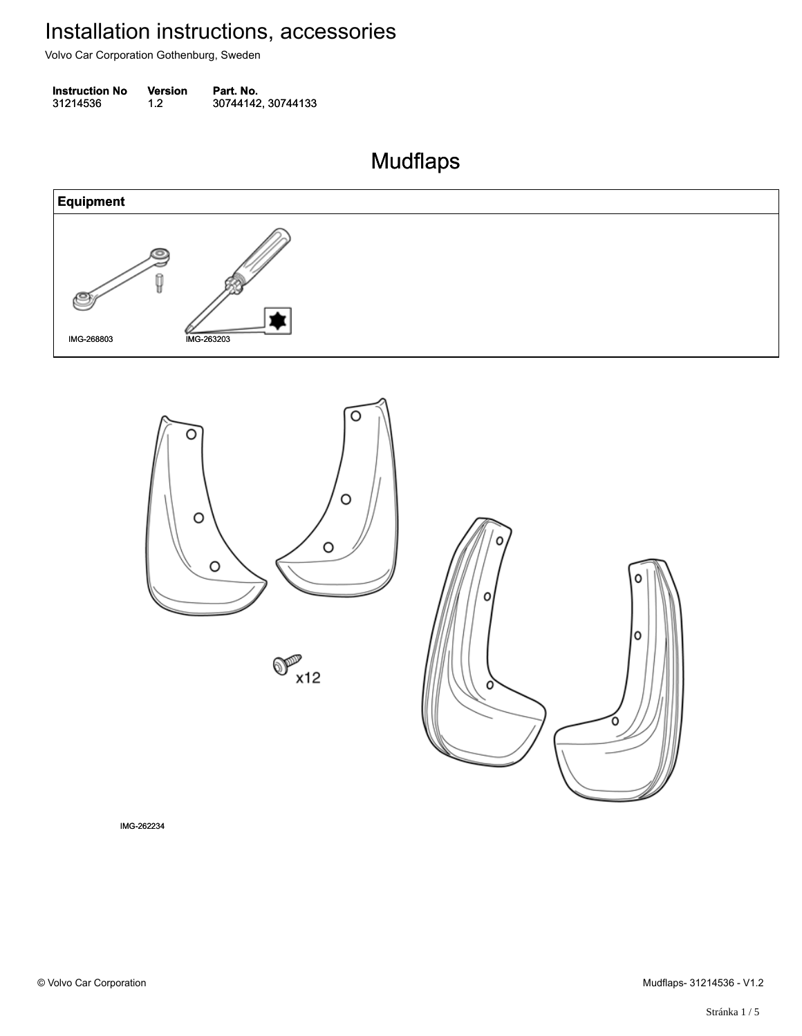Volvo Car Corporation Gothenburg, Sweden

**Instruction No** Version Part. No. 31214536 1.2 30744142, 30744133 312145361.230744142, 30744133

Mudflaps Mudflaps







IMG-262234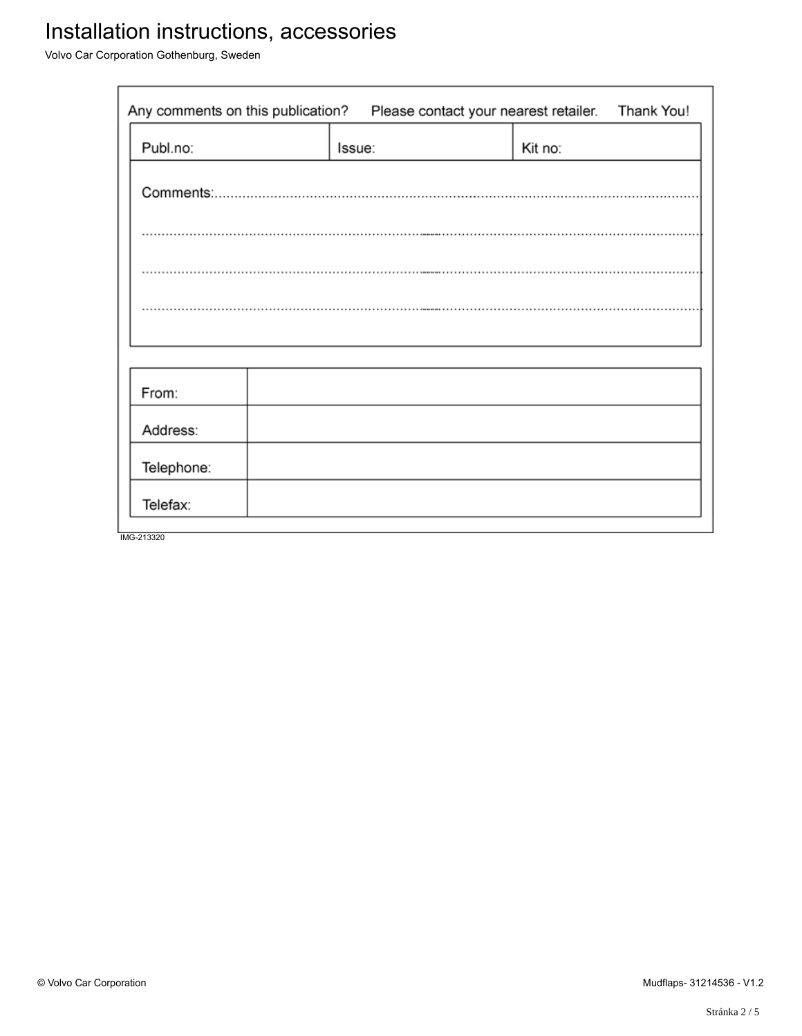# Installation instructions, accessories

Volvo Car Corporation Gothenburg, Sweden

| Any comments on this publication?<br>Please contact your nearest retailer. |        |  |         | Thank You! |
|----------------------------------------------------------------------------|--------|--|---------|------------|
| Publ.no:                                                                   | Issue: |  | Kit no: |            |
|                                                                            |        |  |         |            |
|                                                                            |        |  |         |            |
|                                                                            |        |  |         |            |
|                                                                            |        |  |         |            |
|                                                                            |        |  |         |            |
| From:                                                                      |        |  |         |            |
| Address:                                                                   |        |  |         |            |
| Telephone:                                                                 |        |  |         |            |
| Telefax:                                                                   |        |  |         |            |
| IMG-213320                                                                 |        |  |         |            |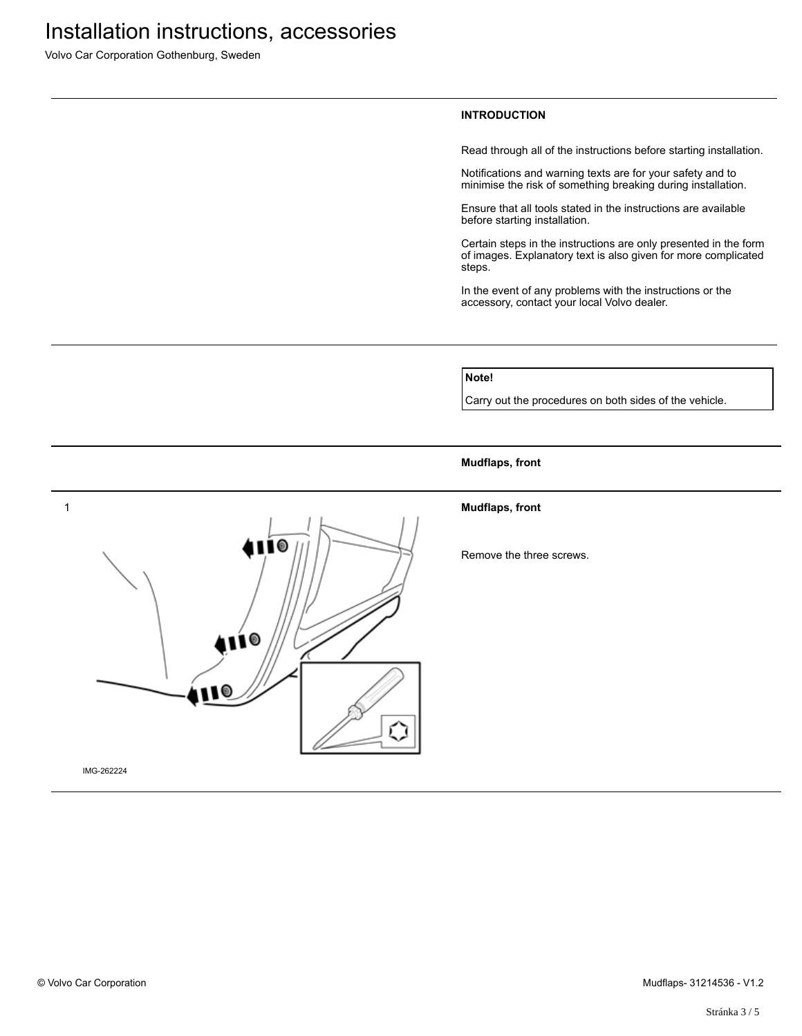Volvo Car Corporation Gothenburg, Sweden

### **INTRODUCTION**

Read through all of the instructions before starting installation.

Notifications and warning texts are for your safety and to minimise the risk of something breaking during installation.

Ensure that all tools stated in the instructions are available before starting installation.

Certain steps in the instructions are only presented in the form of images. Explanatory text is also given for more complicated steps.

In the event of any problems with the instructions or the accessory, contact your local Volvo dealer.

### **Note!**

Carry out the procedures on both sides of the vehicle.

#### **Mudflaps, front**



Remove the three screws.



IMG-262224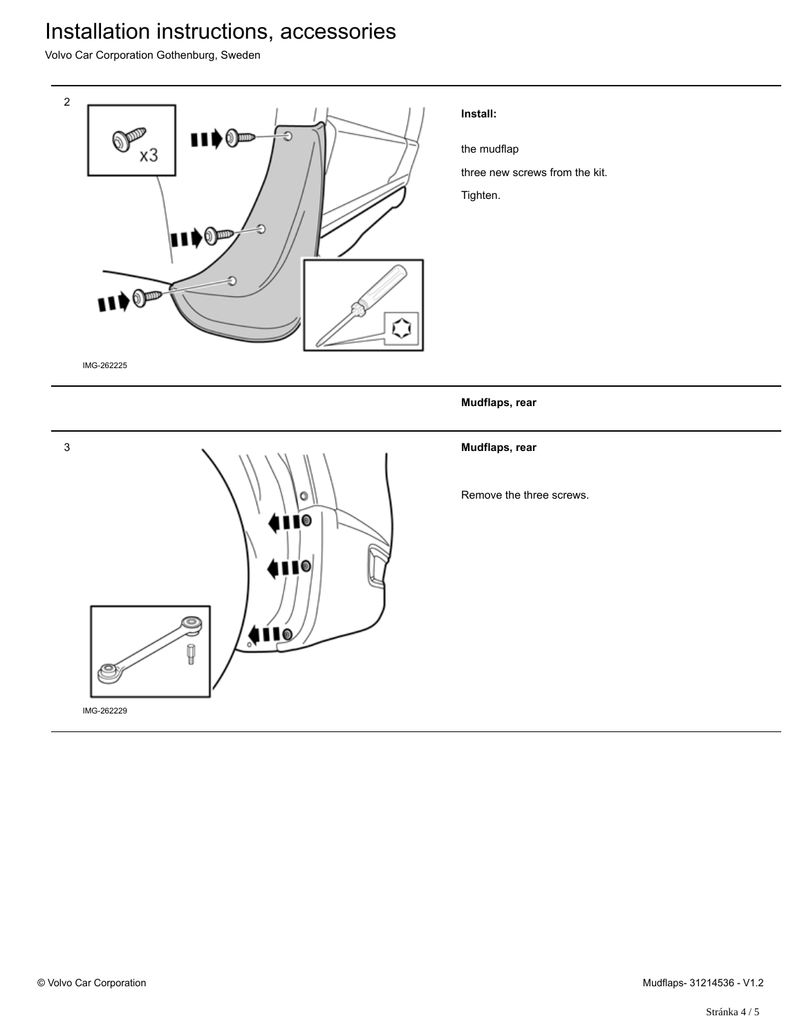## Installation instructions, accessories

Volvo Car Corporation Gothenburg, Sweden



### **Install:**

the mudflap

three new screws from the kit.

Tighten.

### **Mudflaps, rear**